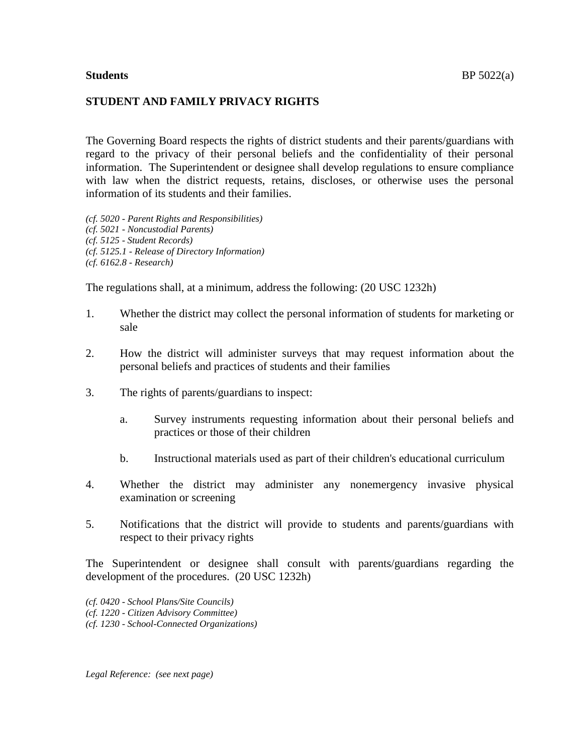#### **STUDENT AND FAMILY PRIVACY RIGHTS**

The Governing Board respects the rights of district students and their parents/guardians with regard to the privacy of their personal beliefs and the confidentiality of their personal information. The Superintendent or designee shall develop regulations to ensure compliance with law when the district requests, retains, discloses, or otherwise uses the personal information of its students and their families.

*(cf. 5020 - Parent Rights and Responsibilities) (cf. 5021 - Noncustodial Parents) (cf. 5125 - Student Records) (cf. 5125.1 - Release of Directory Information) (cf. 6162.8 - Research)*

The regulations shall, at a minimum, address the following: (20 USC 1232h)

- 1. Whether the district may collect the personal information of students for marketing or sale
- 2. How the district will administer surveys that may request information about the personal beliefs and practices of students and their families
- 3. The rights of parents/guardians to inspect:
	- a. Survey instruments requesting information about their personal beliefs and practices or those of their children
	- b. Instructional materials used as part of their children's educational curriculum
- 4. Whether the district may administer any nonemergency invasive physical examination or screening
- 5. Notifications that the district will provide to students and parents/guardians with respect to their privacy rights

The Superintendent or designee shall consult with parents/guardians regarding the development of the procedures. (20 USC 1232h)

- *(cf. 0420 - School Plans/Site Councils)*
- *(cf. 1220 - Citizen Advisory Committee)*

*(cf. 1230 - School-Connected Organizations)*

*Legal Reference: (see next page)*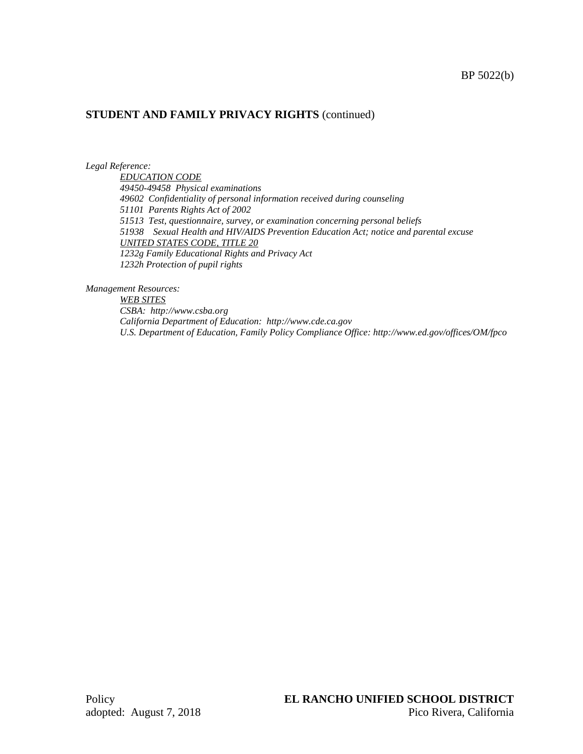*Legal Reference:*

*EDUCATION CODE 49450-49458 Physical examinations 49602 Confidentiality of personal information received during counseling 51101 Parents Rights Act of 2002 51513 Test, questionnaire, survey, or examination concerning personal beliefs 51938 Sexual Health and HIV/AIDS Prevention Education Act; notice and parental excuse UNITED STATES CODE, TITLE 20 1232g Family Educational Rights and Privacy Act 1232h Protection of pupil rights*

*Management Resources:*

*WEB SITES CSBA: http://www.csba.org California Department of Education: http://www.cde.ca.gov U.S. Department of Education, Family Policy Compliance Office: http://www.ed.gov/offices/OM/fpco*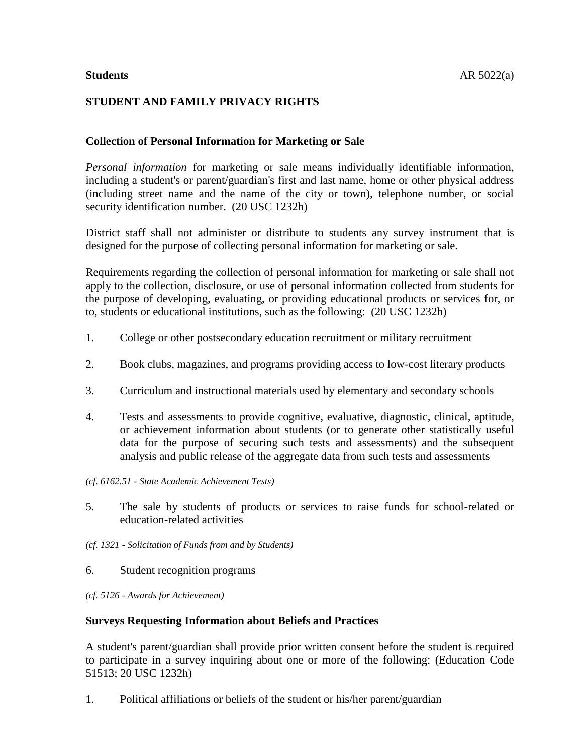# **STUDENT AND FAMILY PRIVACY RIGHTS**

## **Collection of Personal Information for Marketing or Sale**

*Personal information* for marketing or sale means individually identifiable information, including a student's or parent/guardian's first and last name, home or other physical address (including street name and the name of the city or town), telephone number, or social security identification number. (20 USC 1232h)

District staff shall not administer or distribute to students any survey instrument that is designed for the purpose of collecting personal information for marketing or sale.

Requirements regarding the collection of personal information for marketing or sale shall not apply to the collection, disclosure, or use of personal information collected from students for the purpose of developing, evaluating, or providing educational products or services for, or to, students or educational institutions, such as the following: (20 USC 1232h)

- 1. College or other postsecondary education recruitment or military recruitment
- 2. Book clubs, magazines, and programs providing access to low-cost literary products
- 3. Curriculum and instructional materials used by elementary and secondary schools
- 4. Tests and assessments to provide cognitive, evaluative, diagnostic, clinical, aptitude, or achievement information about students (or to generate other statistically useful data for the purpose of securing such tests and assessments) and the subsequent analysis and public release of the aggregate data from such tests and assessments
- *(cf. 6162.51 - State Academic Achievement Tests)*
- 5. The sale by students of products or services to raise funds for school-related or education-related activities
- *(cf. 1321 - Solicitation of Funds from and by Students)*
- 6. Student recognition programs
- *(cf. 5126 - Awards for Achievement)*

#### **Surveys Requesting Information about Beliefs and Practices**

A student's parent/guardian shall provide prior written consent before the student is required to participate in a survey inquiring about one or more of the following: (Education Code 51513; 20 USC 1232h)

1. Political affiliations or beliefs of the student or his/her parent/guardian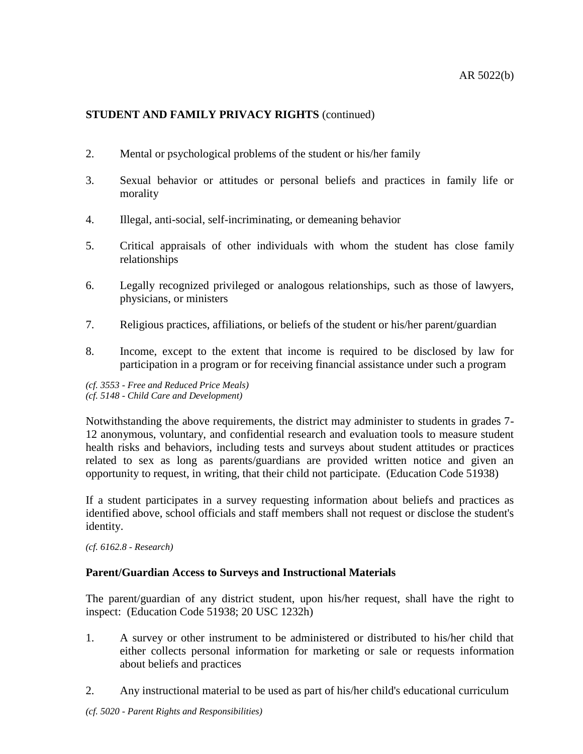- 2. Mental or psychological problems of the student or his/her family
- 3. Sexual behavior or attitudes or personal beliefs and practices in family life or morality
- 4. Illegal, anti-social, self-incriminating, or demeaning behavior
- 5. Critical appraisals of other individuals with whom the student has close family relationships
- 6. Legally recognized privileged or analogous relationships, such as those of lawyers, physicians, or ministers
- 7. Religious practices, affiliations, or beliefs of the student or his/her parent/guardian
- 8. Income, except to the extent that income is required to be disclosed by law for participation in a program or for receiving financial assistance under such a program
- *(cf. 3553 - Free and Reduced Price Meals)*
- *(cf. 5148 - Child Care and Development)*

Notwithstanding the above requirements, the district may administer to students in grades 7- 12 anonymous, voluntary, and confidential research and evaluation tools to measure student health risks and behaviors, including tests and surveys about student attitudes or practices related to sex as long as parents/guardians are provided written notice and given an opportunity to request, in writing, that their child not participate. (Education Code 51938)

If a student participates in a survey requesting information about beliefs and practices as identified above, school officials and staff members shall not request or disclose the student's identity.

*(cf. 6162.8 - Research)*

## **Parent/Guardian Access to Surveys and Instructional Materials**

The parent/guardian of any district student, upon his/her request, shall have the right to inspect: (Education Code 51938; 20 USC 1232h)

- 1. A survey or other instrument to be administered or distributed to his/her child that either collects personal information for marketing or sale or requests information about beliefs and practices
- 2. Any instructional material to be used as part of his/her child's educational curriculum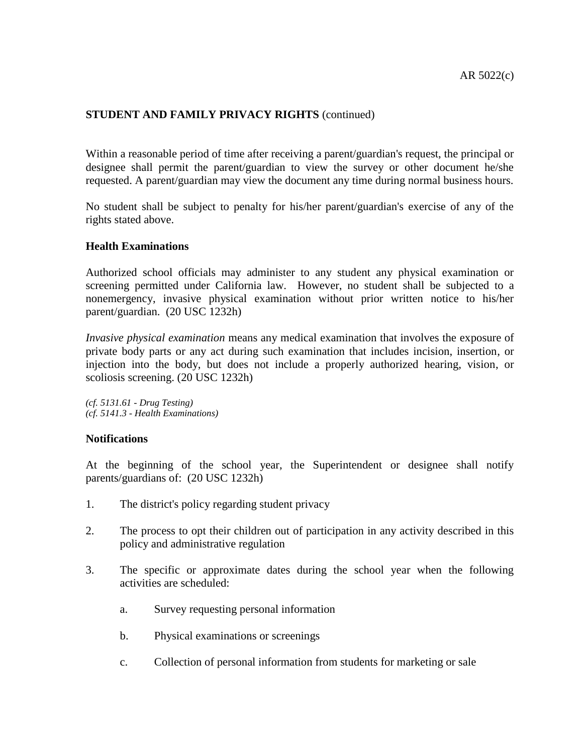Within a reasonable period of time after receiving a parent/guardian's request, the principal or designee shall permit the parent/guardian to view the survey or other document he/she requested. A parent/guardian may view the document any time during normal business hours.

No student shall be subject to penalty for his/her parent/guardian's exercise of any of the rights stated above.

#### **Health Examinations**

Authorized school officials may administer to any student any physical examination or screening permitted under California law. However, no student shall be subjected to a nonemergency, invasive physical examination without prior written notice to his/her parent/guardian. (20 USC 1232h)

*Invasive physical examination* means any medical examination that involves the exposure of private body parts or any act during such examination that includes incision, insertion, or injection into the body, but does not include a properly authorized hearing, vision, or scoliosis screening. (20 USC 1232h)

*(cf. 5131.61 - Drug Testing) (cf. 5141.3 - Health Examinations)*

#### **Notifications**

At the beginning of the school year, the Superintendent or designee shall notify parents/guardians of: (20 USC 1232h)

- 1. The district's policy regarding student privacy
- 2. The process to opt their children out of participation in any activity described in this policy and administrative regulation
- 3. The specific or approximate dates during the school year when the following activities are scheduled:
	- a. Survey requesting personal information
	- b. Physical examinations or screenings
	- c. Collection of personal information from students for marketing or sale